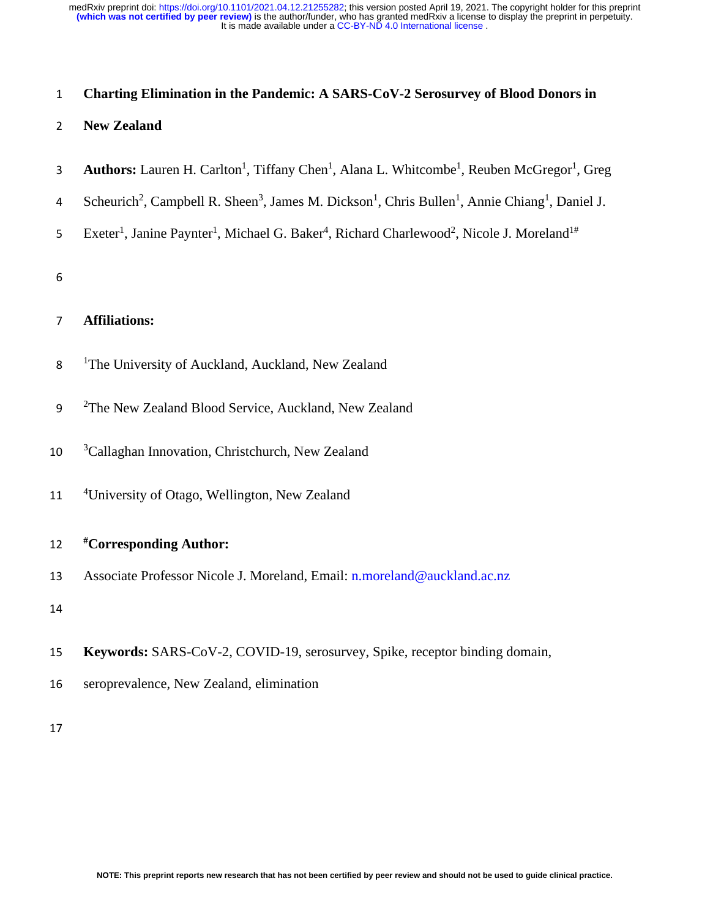## 1 **Charting Elimination in the Pandemic: A SARS-CoV-2 Serosurvey of Blood Donors in**

#### 2 **New Zealand**

- 3 **Authors:** Lauren H. Carlton<sup>1</sup>, Tiffany Chen<sup>1</sup>, Alana L. Whitcombe<sup>1</sup>, Reuben McGregor<sup>1</sup>, Greg
- 4 Scheurich<sup>2</sup>, Campbell R. Sheen<sup>3</sup>, James M. Dickson<sup>1</sup>, Chris Bullen<sup>1</sup>, Annie Chiang<sup>1</sup>, Daniel J.
- 5 Exeter<sup>1</sup>, Janine Paynter<sup>1</sup>, Michael G. Baker<sup>4</sup>, Richard Charlewood<sup>2</sup>, Nicole J. Moreland<sup>1#</sup>

6

## 7 **Affiliations:**

- 8 <sup>1</sup>The University of Auckland, Auckland, New Zealand
- 9 <sup>2</sup>The New Zealand Blood Service, Auckland, New Zealand
- $10$  <sup>3</sup> Callaghan Innovation, Christchurch, New Zealand
- <sup>4</sup> 11 <sup>4</sup> University of Otago, Wellington, New Zealand

### 12 **#Corresponding Author:**

13 Associate Professor Nicole J. Moreland, Email: n.moreland@auckland.ac.nz

14

- 15 **Keywords:** SARS-CoV-2, COVID-19, serosurvey, Spike, receptor binding domain,
- 16 seroprevalence, New Zealand, elimination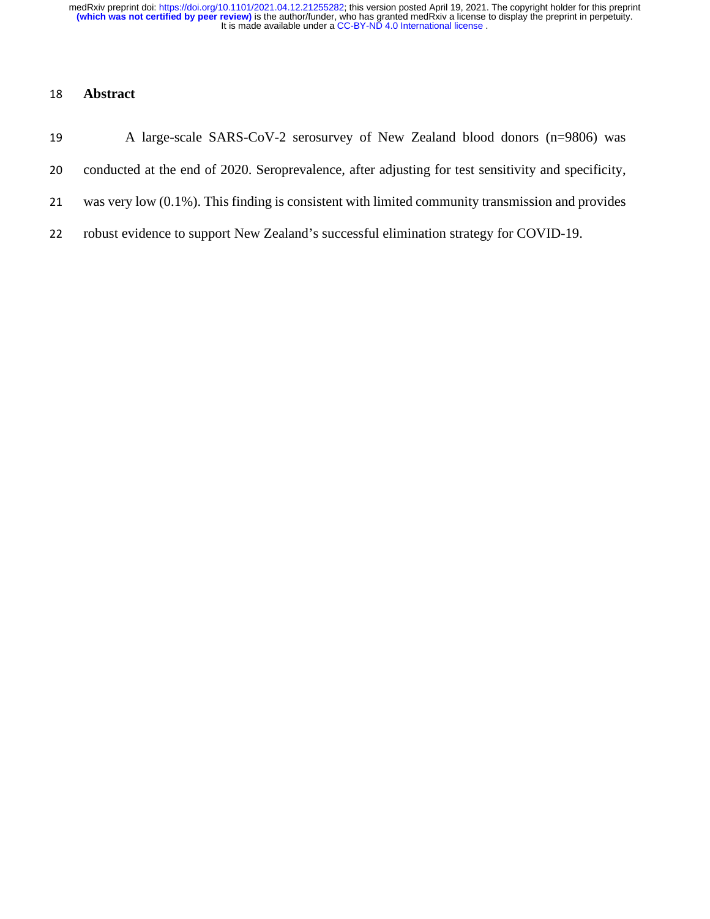## **Abstract**

- A large-scale SARS-CoV-2 serosurvey of New Zealand blood donors (n=9806) was conducted at the end of 2020. Seroprevalence, after adjusting for test sensitivity and specificity, was very low (0.1%). This finding is consistent with limited community transmission and provides
- robust evidence to support New Zealand's successful elimination strategy for COVID-19.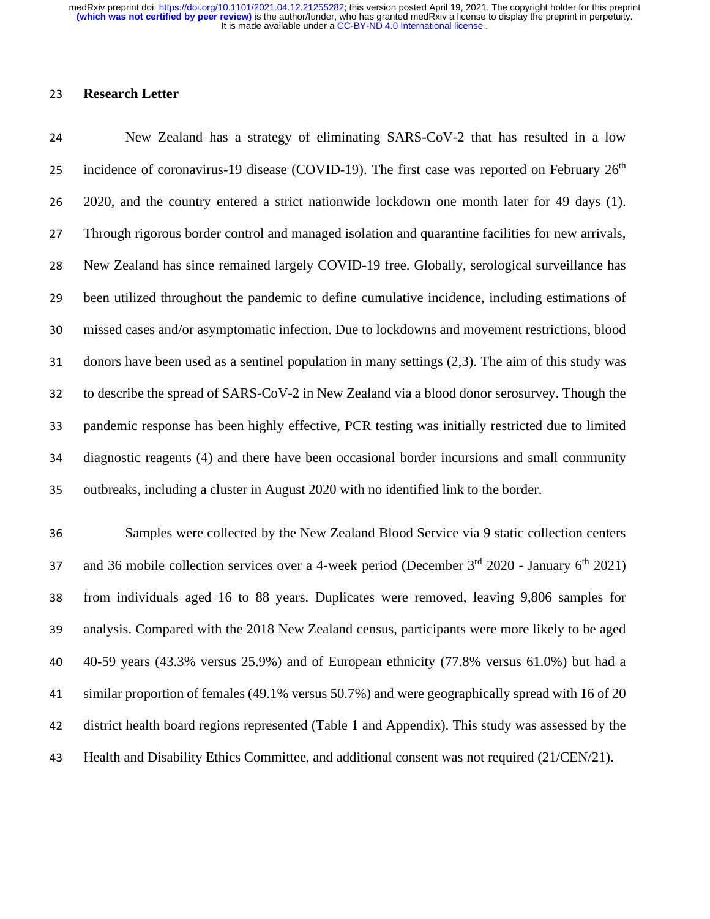#### **Research Letter**

 New Zealand has a strategy of eliminating SARS-CoV-2 that has resulted in a low 25 incidence of coronavirus-19 disease (COVID-19). The first case was reported on February  $26<sup>th</sup>$  2020, and the country entered a strict nationwide lockdown one month later for 49 days (1). Through rigorous border control and managed isolation and quarantine facilities for new arrivals, New Zealand has since remained largely COVID-19 free. Globally, serological surveillance has been utilized throughout the pandemic to define cumulative incidence, including estimations of missed cases and/or asymptomatic infection. Due to lockdowns and movement restrictions, blood donors have been used as a sentinel population in many settings (2,3). The aim of this study was to describe the spread of SARS-CoV-2 in New Zealand via a blood donor serosurvey. Though the pandemic response has been highly effective, PCR testing was initially restricted due to limited diagnostic reagents (4) and there have been occasional border incursions and small community outbreaks, including a cluster in August 2020 with no identified link to the border.

 Samples were collected by the New Zealand Blood Service via 9 static collection centers 37 and 36 mobile collection services over a 4-week period (December  $3<sup>rd</sup> 2020$  - January  $6<sup>th</sup> 2021$ ) from individuals aged 16 to 88 years. Duplicates were removed, leaving 9,806 samples for analysis. Compared with the 2018 New Zealand census, participants were more likely to be aged 40-59 years (43.3% versus 25.9%) and of European ethnicity (77.8% versus 61.0%) but had a similar proportion of females (49.1% versus 50.7%) and were geographically spread with 16 of 20 district health board regions represented (Table 1 and Appendix). This study was assessed by the Health and Disability Ethics Committee, and additional consent was not required (21/CEN/21).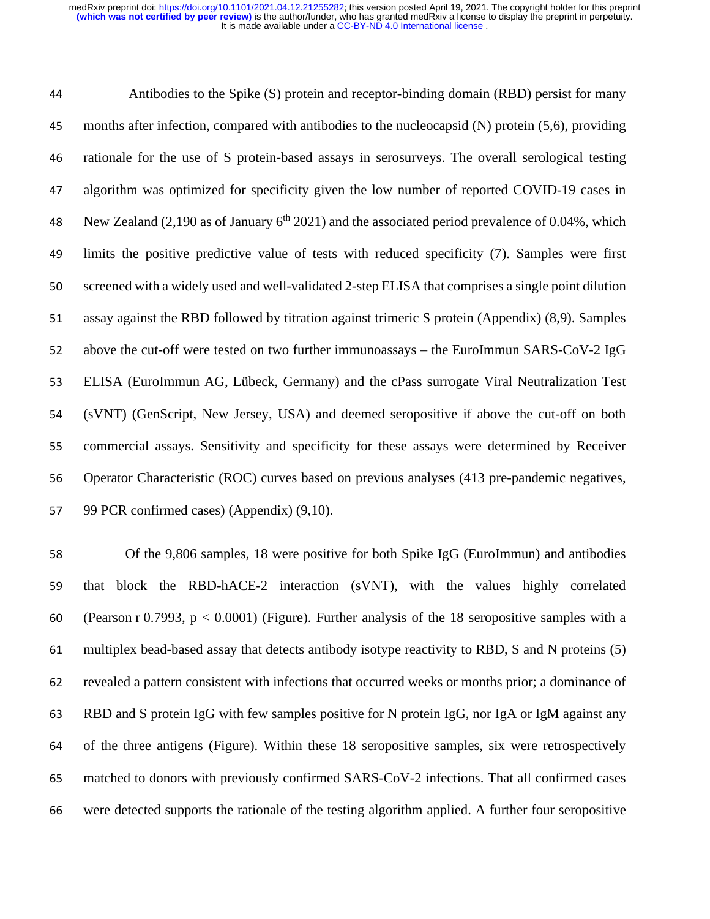Antibodies to the Spike (S) protein and receptor-binding domain (RBD) persist for many months after infection, compared with antibodies to the nucleocapsid (N) protein (5,6), providing rationale for the use of S protein-based assays in serosurveys. The overall serological testing algorithm was optimized for specificity given the low number of reported COVID-19 cases in 48 New Zealand (2,190 as of January  $6<sup>th</sup> 2021$ ) and the associated period prevalence of 0.04%, which limits the positive predictive value of tests with reduced specificity (7). Samples were first screened with a widely used and well-validated 2-step ELISA that comprises a single point dilution assay against the RBD followed by titration against trimeric S protein (Appendix) (8,9). Samples above the cut-off were tested on two further immunoassays – the EuroImmun SARS-CoV-2 IgG ELISA (EuroImmun AG, Lübeck, Germany) and the cPass surrogate Viral Neutralization Test (sVNT) (GenScript, New Jersey, USA) and deemed seropositive if above the cut-off on both commercial assays. Sensitivity and specificity for these assays were determined by Receiver Operator Characteristic (ROC) curves based on previous analyses (413 pre-pandemic negatives, 99 PCR confirmed cases) (Appendix) (9,10).

 Of the 9,806 samples, 18 were positive for both Spike IgG (EuroImmun) and antibodies that block the RBD-hACE-2 interaction (sVNT), with the values highly correlated 60 (Pearson r 0.7993,  $p < 0.0001$ ) (Figure). Further analysis of the 18 seropositive samples with a multiplex bead-based assay that detects antibody isotype reactivity to RBD, S and N proteins (5) revealed a pattern consistent with infections that occurred weeks or months prior; a dominance of RBD and S protein IgG with few samples positive for N protein IgG, nor IgA or IgM against any of the three antigens (Figure). Within these 18 seropositive samples, six were retrospectively matched to donors with previously confirmed SARS-CoV-2 infections. That all confirmed cases were detected supports the rationale of the testing algorithm applied. A further four seropositive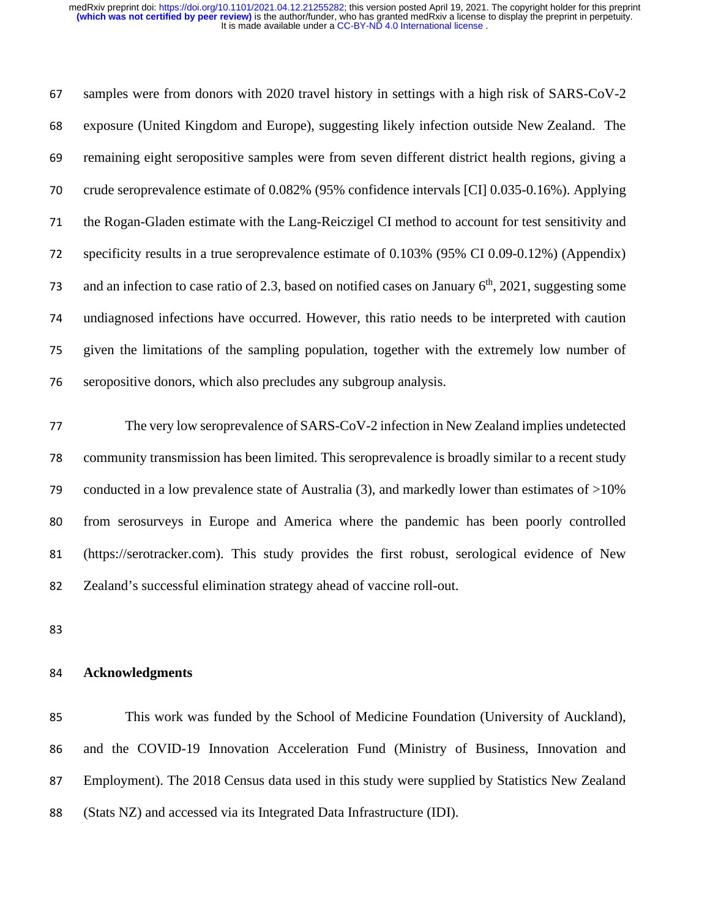samples were from donors with 2020 travel history in settings with a high risk of SARS-CoV-2 exposure (United Kingdom and Europe), suggesting likely infection outside New Zealand. The remaining eight seropositive samples were from seven different district health regions, giving a crude seroprevalence estimate of 0.082% (95% confidence intervals [CI] 0.035-0.16%). Applying the Rogan-Gladen estimate with the Lang-Reiczigel CI method to account for test sensitivity and specificity results in a true seroprevalence estimate of 0.103% (95% CI 0.09-0.12%) (Appendix) 73 and an infection to case ratio of 2.3, based on notified cases on January  $6<sup>th</sup>$ , 2021, suggesting some undiagnosed infections have occurred. However, this ratio needs to be interpreted with caution given the limitations of the sampling population, together with the extremely low number of seropositive donors, which also precludes any subgroup analysis.

 The very low seroprevalence of SARS-CoV-2 infection in New Zealand implies undetected community transmission has been limited. This seroprevalence is broadly similar to a recent study conducted in a low prevalence state of Australia (3), and markedly lower than estimates of >10% from serosurveys in Europe and America where the pandemic has been poorly controlled (https://serotracker.com). This study provides the first robust, serological evidence of New Zealand's successful elimination strategy ahead of vaccine roll-out.

#### **Acknowledgments**

 This work was funded by the School of Medicine Foundation (University of Auckland), and the COVID-19 Innovation Acceleration Fund (Ministry of Business, Innovation and Employment). The 2018 Census data used in this study were supplied by Statistics New Zealand (Stats NZ) and accessed via its Integrated Data Infrastructure (IDI).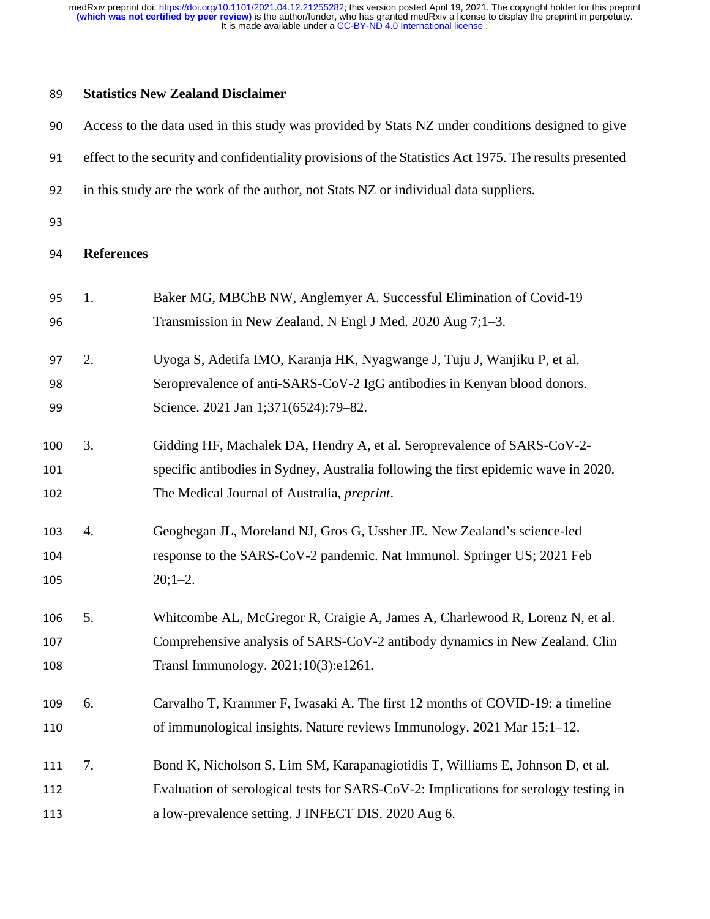## **Statistics New Zealand Disclaimer**

| 90  |                   | Access to the data used in this study was provided by Stats NZ under conditions designed to give        |
|-----|-------------------|---------------------------------------------------------------------------------------------------------|
| 91  |                   | effect to the security and confidentiality provisions of the Statistics Act 1975. The results presented |
| 92  |                   | in this study are the work of the author, not Stats NZ or individual data suppliers.                    |
| 93  |                   |                                                                                                         |
| 94  | <b>References</b> |                                                                                                         |
| 95  | 1.                | Baker MG, MBChB NW, Anglemyer A. Successful Elimination of Covid-19                                     |
| 96  |                   | Transmission in New Zealand. N Engl J Med. 2020 Aug 7;1-3.                                              |
| 97  | 2.                | Uyoga S, Adetifa IMO, Karanja HK, Nyagwange J, Tuju J, Wanjiku P, et al.                                |
| 98  |                   | Seroprevalence of anti-SARS-CoV-2 IgG antibodies in Kenyan blood donors.                                |
| 99  |                   | Science. 2021 Jan 1;371(6524):79-82.                                                                    |
| 100 | 3.                | Gidding HF, Machalek DA, Hendry A, et al. Seroprevalence of SARS-CoV-2-                                 |
| 101 |                   | specific antibodies in Sydney, Australia following the first epidemic wave in 2020.                     |
| 102 |                   | The Medical Journal of Australia, <i>preprint</i> .                                                     |
| 103 | 4.                | Geoghegan JL, Moreland NJ, Gros G, Ussher JE. New Zealand's science-led                                 |
| 104 |                   | response to the SARS-CoV-2 pandemic. Nat Immunol. Springer US; 2021 Feb                                 |
| 105 |                   | $20;1-2.$                                                                                               |
| 106 | 5.                | Whitcombe AL, McGregor R, Craigie A, James A, Charlewood R, Lorenz N, et al.                            |
| 107 |                   | Comprehensive analysis of SARS-CoV-2 antibody dynamics in New Zealand. Clin                             |
| 108 |                   | Transl Immunology. 2021;10(3):e1261.                                                                    |
| 109 | 6.                | Carvalho T, Krammer F, Iwasaki A. The first 12 months of COVID-19: a timeline                           |
| 110 |                   | of immunological insights. Nature reviews Immunology. 2021 Mar 15;1–12.                                 |
| 111 | 7.                | Bond K, Nicholson S, Lim SM, Karapanagiotidis T, Williams E, Johnson D, et al.                          |
| 112 |                   | Evaluation of serological tests for SARS-CoV-2: Implications for serology testing in                    |
| 113 |                   | a low-prevalence setting. J INFECT DIS. 2020 Aug 6.                                                     |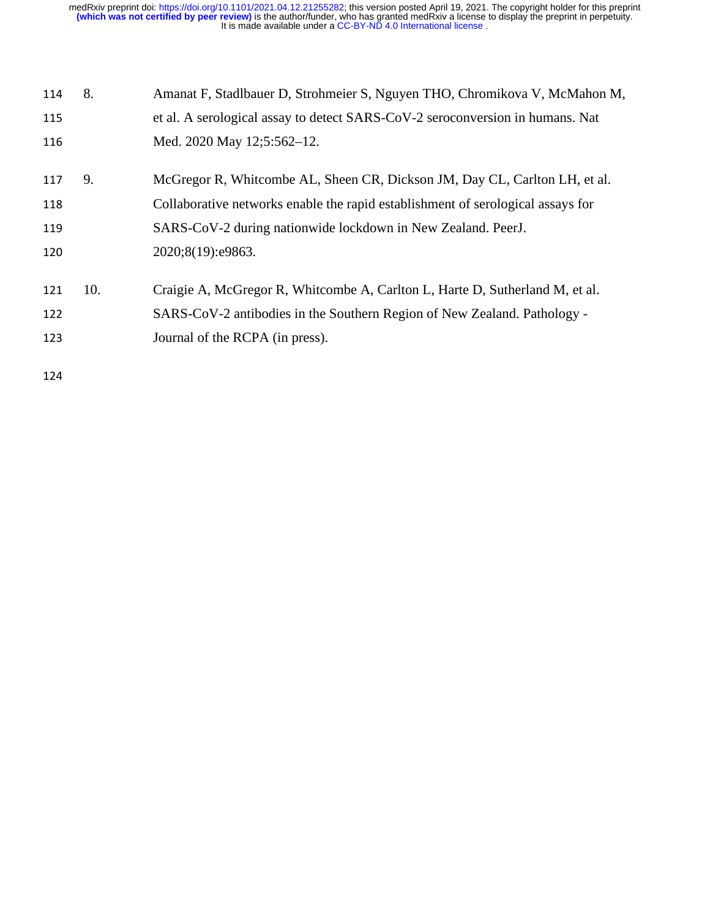| 114 | 8.  | Amanat F, Stadlbauer D, Strohmeier S, Nguyen THO, Chromikova V, McMahon M,      |
|-----|-----|---------------------------------------------------------------------------------|
| 115 |     | et al. A serological assay to detect SARS-CoV-2 seroconversion in humans. Nat   |
| 116 |     | Med. 2020 May 12;5:562-12.                                                      |
| 117 | 9.  | McGregor R, Whitcombe AL, Sheen CR, Dickson JM, Day CL, Carlton LH, et al.      |
| 118 |     | Collaborative networks enable the rapid establishment of serological assays for |
| 119 |     | SARS-CoV-2 during nationwide lockdown in New Zealand. PeerJ.                    |
| 120 |     | 2020;8(19):e9863.                                                               |
| 121 | 10. | Craigie A, McGregor R, Whitcombe A, Carlton L, Harte D, Sutherland M, et al.    |
| 122 |     | SARS-CoV-2 antibodies in the Southern Region of New Zealand. Pathology -        |
| 123 |     | Journal of the RCPA (in press).                                                 |
| 124 |     |                                                                                 |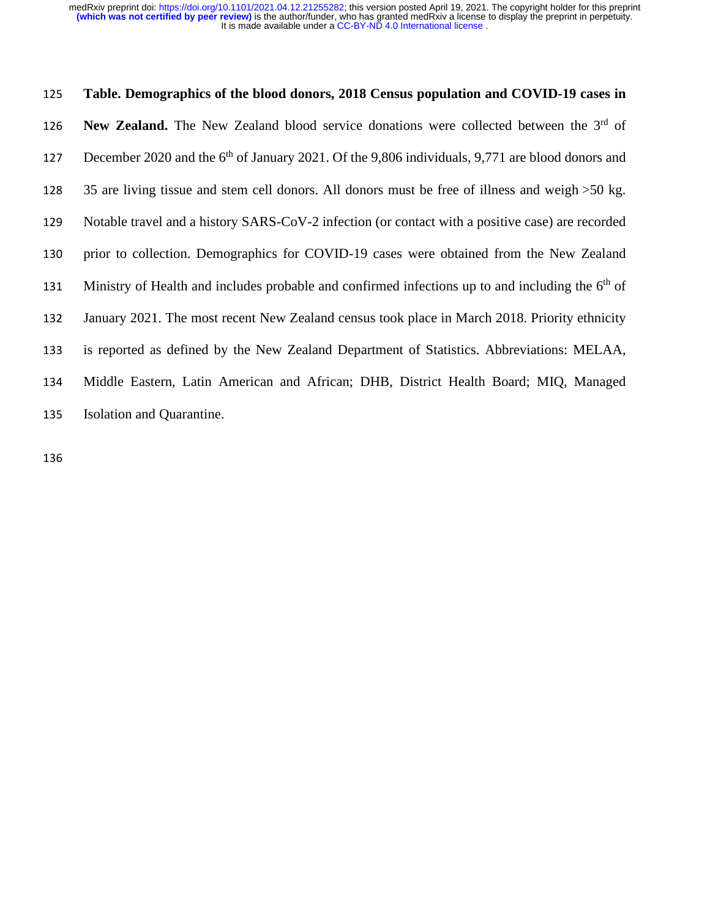# **Table. Demographics of the blood donors, 2018 Census population and COVID-19 cases in**  126 **New Zealand.** The New Zealand blood service donations were collected between the 3<sup>rd</sup> of 127 December 2020 and the 6<sup>th</sup> of January 2021. Of the 9,806 individuals, 9,771 are blood donors and 35 are living tissue and stem cell donors. All donors must be free of illness and weigh >50 kg. Notable travel and a history SARS-CoV-2 infection (or contact with a positive case) are recorded prior to collection. Demographics for COVID-19 cases were obtained from the New Zealand 131 Ministry of Health and includes probable and confirmed infections up to and including the  $6<sup>th</sup>$  of January 2021. The most recent New Zealand census took place in March 2018. Priority ethnicity is reported as defined by the New Zealand Department of Statistics. Abbreviations: MELAA, Middle Eastern, Latin American and African; DHB, District Health Board; MIQ, Managed Isolation and Quarantine.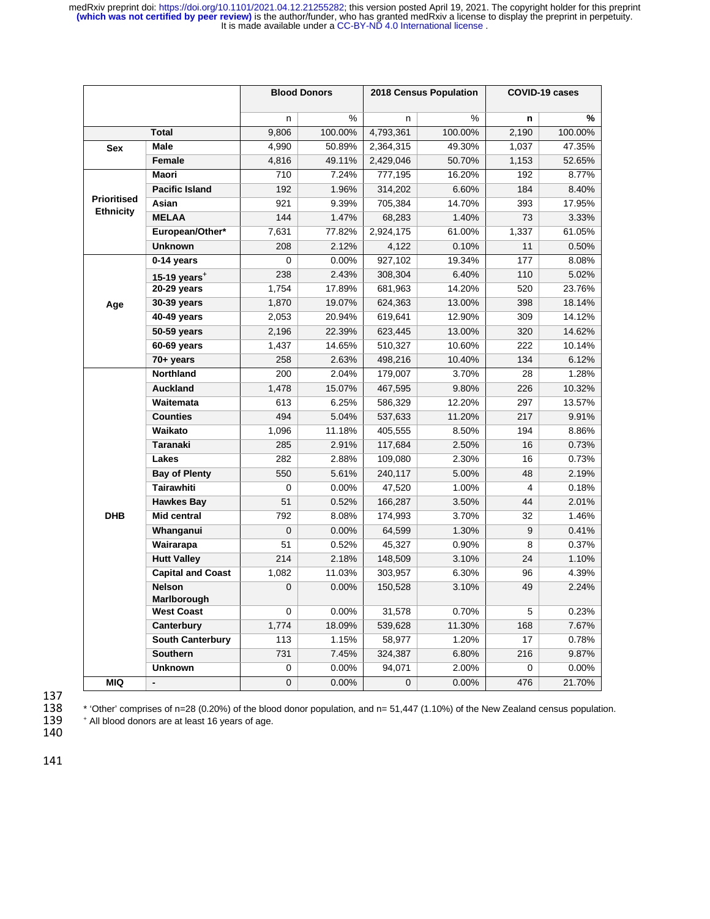| %<br>%<br>n<br>n<br>n<br>9,806<br>100.00%<br>4,793,361<br>100.00%<br>2,190<br><b>Total</b><br>Male<br>4,990<br>1,037<br>50.89%<br>2,364,315<br>49.30%<br>Sex<br>Female<br>4,816<br>49.11%<br>2,429,046<br>50.70%<br>1,153 | %<br>100.00%<br>47.35%<br>52.65%<br>8.77%<br>8.40% |
|---------------------------------------------------------------------------------------------------------------------------------------------------------------------------------------------------------------------------|----------------------------------------------------|
|                                                                                                                                                                                                                           |                                                    |
|                                                                                                                                                                                                                           |                                                    |
|                                                                                                                                                                                                                           |                                                    |
|                                                                                                                                                                                                                           |                                                    |
| <b>Maori</b><br>777,195<br>710<br>7.24%<br>16.20%<br>192                                                                                                                                                                  |                                                    |
| <b>Pacific Island</b><br>192<br>1.96%<br>314,202<br>6.60%<br>184                                                                                                                                                          |                                                    |
| <b>Prioritised</b><br>Asian<br>921<br>9.39%<br>14.70%<br>393<br>17.95%<br>705,384                                                                                                                                         |                                                    |
| <b>Ethnicity</b><br><b>MELAA</b><br>144<br>73<br>1.47%<br>68,283<br>1.40%                                                                                                                                                 | 3.33%                                              |
| European/Other*<br>7,631<br>1,337<br>77.82%<br>2,924,175<br>61.00%                                                                                                                                                        | 61.05%                                             |
| <b>Unknown</b><br>208<br>2.12%<br>0.10%<br>11<br>4,122                                                                                                                                                                    | 0.50%                                              |
| 19.34%<br>0-14 years<br>$\Omega$<br>0.00%<br>927,102<br>177                                                                                                                                                               | 8.08%                                              |
| 238<br>6.40%<br>110<br>2.43%<br>308,304<br>15-19 years <sup><math>+</math></sup>                                                                                                                                          | 5.02%                                              |
| 17.89%<br>14.20%<br>520<br>20-29 years<br>1,754<br>681,963                                                                                                                                                                | 23.76%                                             |
| 13.00%<br>398<br>30-39 years<br>1,870<br>19.07%<br>624,363<br>Age                                                                                                                                                         | 18.14%                                             |
| 12.90%<br>309<br>40-49 years<br>2,053<br>20.94%<br>619,641                                                                                                                                                                | 14.12%                                             |
| 50-59 years<br>2,196<br>22.39%<br>623,445<br>13.00%<br>320                                                                                                                                                                | 14.62%                                             |
| 10.60%<br>222<br>60-69 years<br>1,437<br>14.65%<br>510,327                                                                                                                                                                | 10.14%                                             |
| 10.40%<br>$70+$ years<br>258<br>2.63%<br>498,216<br>134                                                                                                                                                                   | 6.12%                                              |
| Northland<br>200<br>3.70%<br>28<br>2.04%<br>179,007                                                                                                                                                                       | 1.28%                                              |
| <b>Auckland</b><br>1,478<br>226<br>15.07%<br>9.80%<br>467,595                                                                                                                                                             | 10.32%                                             |
| 297<br>Waitemata<br>613<br>6.25%<br>586,329<br>12.20%                                                                                                                                                                     | 13.57%                                             |
| <b>Counties</b><br>494<br>217<br>5.04%<br>537,633<br>11.20%                                                                                                                                                               | 9.91%                                              |
| Waikato<br>194<br>1,096<br>11.18%<br>405,555<br>8.50%                                                                                                                                                                     | 8.86%                                              |
| <b>Taranaki</b><br>285<br>16<br>2.91%<br>117,684<br>2.50%                                                                                                                                                                 | 0.73%                                              |
| Lakes<br>282<br>16<br>2.88%<br>109,080<br>2.30%                                                                                                                                                                           | 0.73%                                              |
| <b>Bay of Plenty</b><br>550<br>5.61%<br>5.00%<br>48<br>240,117                                                                                                                                                            | 2.19%                                              |
| <b>Tairawhiti</b><br>0<br>0.00%<br>47,520<br>1.00%<br>4                                                                                                                                                                   | 0.18%                                              |
| <b>Hawkes Bay</b><br>51<br>0.52%<br>166,287<br>3.50%<br>44                                                                                                                                                                | 2.01%                                              |
| <b>DHB</b><br>Mid central<br>792<br>8.08%<br>174,993<br>3.70%<br>32                                                                                                                                                       | 1.46%                                              |
| Whanganui<br>0<br>0.00%<br>64,599<br>1.30%<br>9                                                                                                                                                                           | 0.41%                                              |
| Wairarapa<br>51<br>0.52%<br>45,327<br>0.90%<br>8                                                                                                                                                                          | 0.37%                                              |
| <b>Hutt Valley</b><br>214<br>2.18%<br>148,509<br>3.10%<br>24                                                                                                                                                              | 1.10%                                              |
| <b>Capital and Coast</b><br>1,082<br>11.03%<br>6.30%<br>96<br>303,957                                                                                                                                                     | 4.39%                                              |
| <b>Nelson</b><br>$\mathbf 0$<br>49<br>0.00%<br>3.10%<br>150,528                                                                                                                                                           | 2.24%                                              |
| Marlborough<br><b>West Coast</b><br>0<br>0.00%<br>31,578<br>0.70%<br>5                                                                                                                                                    | 0.23%                                              |
| Canterbury<br>1,774<br>18.09%<br>539,628<br>11.30%<br>168                                                                                                                                                                 | 7.67%                                              |
| <b>South Canterbury</b><br>1.15%<br>58,977<br>17<br>113<br>1.20%                                                                                                                                                          | 0.78%                                              |
| Southern<br>731<br>216<br>7.45%<br>324,387<br>6.80%                                                                                                                                                                       | 9.87%                                              |
| <b>Unknown</b><br>0<br>0.00%<br>94,071<br>2.00%<br>0                                                                                                                                                                      | 0.00%                                              |
| MIQ<br>$\pmb{0}$<br>476<br>0.00%<br>$\mathbf{0}$<br>0.00%<br>-                                                                                                                                                            | 21.70%                                             |

137<br>138

<sup>\*</sup> 'Other' comprises of n=28 (0.20%) of the blood donor population, and n= 51,447 (1.10%) of the New Zealand census population.<br>139 <sup>\*</sup> All blood donors are at least 16 years of age.

<sup>+</sup> All blood donors are at least 16 years of age. 140